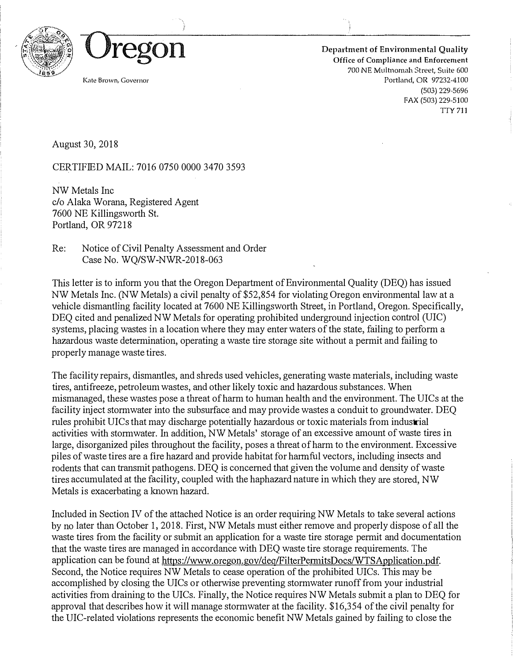



Department of Environmental Quality Office of Compliance and Enforcement 700 NE Multnomah Street, Suite 600 Portland, OR 97232-4100 (503) 229-5696 FAX (503) 229-5100 TTY 711

Kate Brown, Governor

August 30, 2018

CERTIFIED MAIL: 7016 0750 0000 3470 3593

NW Metals Inc c/o Alaka Worana, Registered Agent 7600 NE Killingsworth St. Portland, OR 97218

Re: Notice of Civil Penalty Assessment and Order Case No. WQ/SW-NWR-2018-063

This letter is to inform you that the Oregon Department of Environmental Quality (DEQ) has issued NW Metals Inc. (NW Metals) a civil penalty of \$52,854 for violating Oregon environmental law at a vehicle dismantling facility located at 7600 NE Killingsworth Street, in Portland, Oregon. Specifically, DEQ cited and penalized NW Metals for operating prohibited underground injection control (UIC) systems, placing wastes in a location where they may enter waters of the state, failing to perform a hazardous waste determination, operating a waste tire storage site without a permit and failing to properly manage waste tires.

The facility repairs, dismantles, and shreds used vehicles, generating waste materials, including waste tires, antifreeze, petroleum wastes, and other likely toxic and hazardous substances. When mismanaged, these wastes pose a threat of harm to human health and the environment. The UICs at the facility inject stormwater into the subsurface and may provide wastes a conduit to groundwater. DEQ rules prohibit UICs that may discharge potentially hazardous or toxic materials from industrial activities with stormwater. In addition, NW Metals' storage of an excessive amount of waste tires in large, disorganized piles throughout the facility, poses a threat of harm to the environment. Excessive piles of waste tires are a fire hazard and provide habitat for harmful vectors, including insects and rodents that can transmit pathogens. DEQ is concerned that given the volume and density of waste tires accumulated at the facility, coupled with the haphazard nature in which they are stored, NW Metals is exacerbating a known hazard.

Included in Section IV of the attached Notice is an order requiring NW Metals to take several actions by no later than October l, 2018. First, NW Metals must either remove and properly dispose of all the waste tires from the facility or submit an application for a waste tire storage permit and documentation that the waste tires are managed in accordance with DEQ waste tire storage requirements. The application can be found at https://www.oregon.gov/deq/FilterPermitsDocs/WTSApplication.pdf. Second, the Notice requires NW Metals to cease operation of the prohibited UICs. This may be accomplished by closing the UICs or otherwise preventing stormwater runoff from your industrial activities from draining to the UICs. Finally, the Notice requires NW Metals submit a plan to DEQ for approval that describes how it will manage stormwater at the facility. \$16,354 of the civil penalty for the DIC-related violations represents the economic benefit NW Metals gained by failing to close the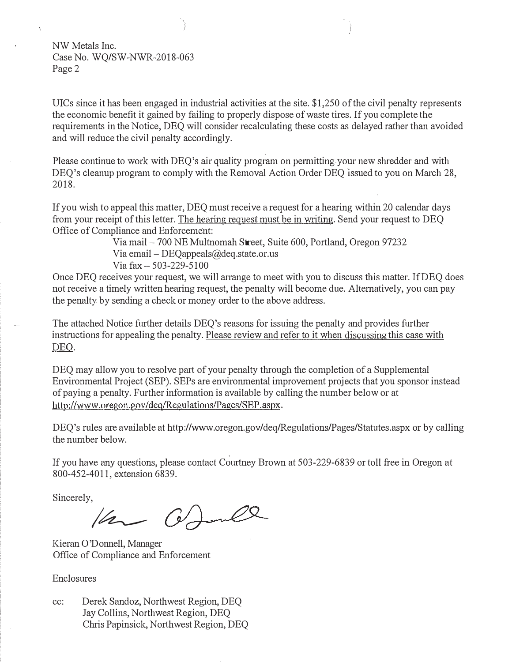NW Metals Inc. Case No. WQ/SW-NWR-2018-063 Page 2

ł.

UICs since it has been engaged in industrial activities at the site.  $\frac{1}{250}$  of the civil penalty represents the economic benefit it gained by failing to properly dispose of waste tires. If you complete the requirements in the Notice, DEQ will consider recalculating these costs as delayed rather than avoided and will reduce the civil penalty accordingly.

Please continue to work with DEQ's air quality program on permitting your new shredder and with DEQ's cleanup program to comply with the Removal Action Order DEQ issued to you on March 28, 2018.

If you wish to appeal this matter, DEQ must receive a request for a hearing within 20 calendar days from your receipt of this letter. The hearing request must be in writing. Send your request to DEQ Office of Compliance and Enforcement:

> Via mail  $-700$  NE Multnomah Street, Suite 600, Portland, Oregon 97232 Via email – DEQappeals $(a)$ deq.state.or.us  $V$ ia tax  $-503 - 229 - 5100$

Once DEQ receives your request, we will arrange to meet with you to discuss this matter. If DEQ does not receive a timely written hearing request, the penalty will become due. Alternatively, you can pay the penalty by sending a check or money order to the above address.

The attached Notice further details DEQ's reasons for issuing the penalty and provides further instructions for appealing the penalty. Please review and refer to it when discussing this case with DEO.

DEQ may allow you to resolve part of your penalty through the completion of a Supplemental Environmental Project (SEP). SEPs are environmental improvement projects that you sponsor instead of paying a penalty. Further information is available by calling the number below or at http://www.oregon.gov/deq/Regulations/Pages/SEP.aspx.

DEQ's rules are available at http://www.oregon.gov/deq/Regulations/Pages/Statutes.aspx or by calling the number below.

It you have any questions, please contact Courtney Brown at 503-229-6839 or toll tree in Oregon at 800-452-4011, extension 6839.

Sincerely,

Van Ommell

Kieran O'Donnell, Manager Office of Compliance and Enforcement

**Enclosures** 

cc: Derek Sandoz, Northwest Region, DEQ Jay Collins, Northwest Region, DEQ Chris Papinsick, Northwest Region, DEQ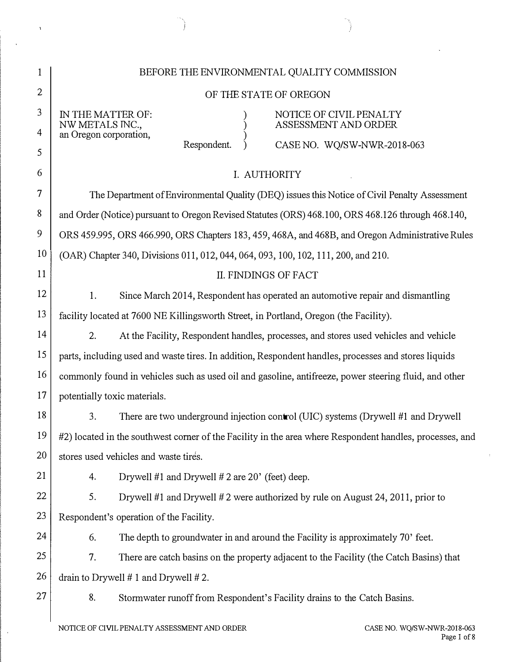| 1              | BEFORE THE ENVIRONMENTAL QUALITY COMMISSION                                                              |  |  |
|----------------|----------------------------------------------------------------------------------------------------------|--|--|
| $\overline{2}$ | OF THE STATE OF OREGON                                                                                   |  |  |
| 3              | IN THE MATTER OF:<br>NOTICE OF CIVIL PENALTY<br>ASSESSMENT AND ORDER<br>NW METALS INC.,                  |  |  |
| 4              | an Oregon corporation,<br>Respondent.<br>CASE NO. WQ/SW-NWR-2018-063                                     |  |  |
| 5              |                                                                                                          |  |  |
| 6              | I. AUTHORITY                                                                                             |  |  |
| 7              | The Department of Environmental Quality (DEQ) issues this Notice of Civil Penalty Assessment             |  |  |
| 8              | and Order (Notice) pursuant to Oregon Revised Statutes (ORS) 468.100, ORS 468.126 through 468.140,       |  |  |
| 9              | ORS 459.995, ORS 466.990, ORS Chapters 183, 459, 468A, and 468B, and Oregon Administrative Rules         |  |  |
| 10             | (OAR) Chapter 340, Divisions 011, 012, 044, 064, 093, 100, 102, 111, 200, and 210.                       |  |  |
| 11             | <b>II. FINDINGS OF FACT</b>                                                                              |  |  |
| 12             | 1.<br>Since March 2014, Respondent has operated an automotive repair and dismantling                     |  |  |
| 13             | facility located at 7600 NE Killingsworth Street, in Portland, Oregon (the Facility).                    |  |  |
| 14             | 2.<br>At the Facility, Respondent handles, processes, and stores used vehicles and vehicle               |  |  |
| 15             | parts, including used and waste tires. In addition, Respondent handles, processes and stores liquids     |  |  |
| 16             | commonly found in vehicles such as used oil and gasoline, antifreeze, power steering fluid, and other    |  |  |
| 17             | potentially toxic materials.                                                                             |  |  |
| 18             | 3.<br>There are two underground injection control (UIC) systems (Drywell #1 and Drywell                  |  |  |
| 19             | #2) located in the southwest corner of the Facility in the area where Respondent handles, processes, and |  |  |
| 20             | stores used vehicles and waste tires.                                                                    |  |  |
| 21             | Drywell #1 and Drywell #2 are 20' (feet) deep.<br>4.                                                     |  |  |
| 22             | 5.<br>Drywell #1 and Drywell #2 were authorized by rule on August 24, 2011, prior to                     |  |  |
| 23             | Respondent's operation of the Facility.                                                                  |  |  |
| 24             | The depth to groundwater in and around the Facility is approximately 70' feet.<br>6.                     |  |  |
| 25             | 7.<br>There are catch basins on the property adjacent to the Facility (the Catch Basins) that            |  |  |
| 26             | drain to Drywell $# 1$ and Drywell $# 2$ .                                                               |  |  |
| 27             | 8.<br>Stormwater runoff from Respondent's Facility drains to the Catch Basins.                           |  |  |
|                |                                                                                                          |  |  |

 $\begin{pmatrix} 1 & 1 \\ 1 & 1 \end{pmatrix}$ 

 $\mathcal{A}^{\pm}$ 

 $\langle \cdot, \cdot \rangle$ 

 $\hat{\mathcal{A}}$ 

 $\hat{\mathbf{r}}$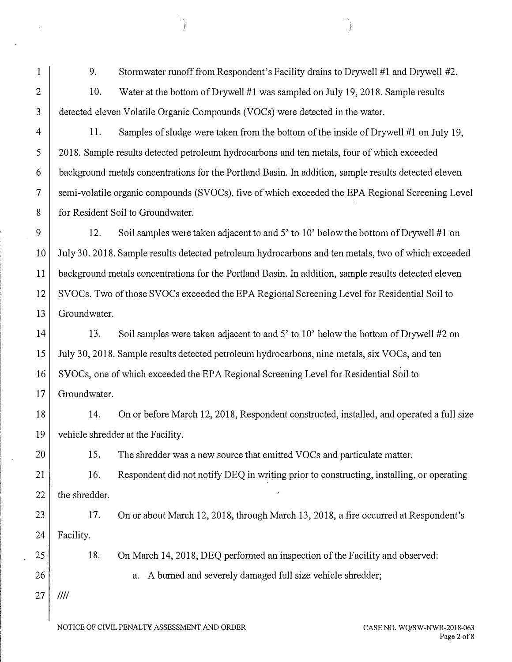9. 10. Stormwater runoff from Respondent's Facility drains to Drywell #1 and Drywell #2. Water at the bottom of Drywell #1 was sampled on July 19, 2018. Sample results 3 detected eleven Volatile Organic Compounds (VOCs) were detected in the water. 4 11. Samples of sludge were taken from the bottom of the inside of Drywell #1 on July 19, 5 2018. Sample results detected petroleum hydrocarbons and ten metals, four of which exceeded 6 background metals concentrations for the Portland Basin. In addition, sample results detected eleven 7 semi-volatile organic compounds (SVOCs), five of which exceeded the EPA Regional Screening Level 8 for Resident Soil to Groundwater. 9  $\vert$  12. Soil samples were taken adjacent to and 5' to 10' below the bottom of Drywell #1 on

10 July 30. 2018. Sample results detected petroleum hydrocarbons and ten metals, two of which exceeded 11 background metals concentrations for the Portland Basin. In addition, sample results detected eleven 12 SVOCs. Two of those SVOCs exceeded the EPA Regional Screening Level for Residential Soil to 13 Groundwater.

14 13. Soil samples were taken adjacent to and 5' to 10' below the bottom of Drywell #2 on 15 July 30, 2018. Sample results detected petroleum hydrocarbons, nine metals, six VOCs, and ten 16 SVOCs, one of which exceeded the EPA Regional Screening Level for Residential Soil to 17 Groundwater.

18 14. On or before March 12, 2018, Respondent constructed, installed, and operated a full size 19 vehicle shredder at the Facility.

20 15. The shredder was a new source that emitted VOCs and particulate matter.

21 22 16. the shredder. Respondent did not notify DEQ in writing prior to constructing, installing, or operating

23 24 17. Facility. On or about March 12, 2018, through March 13, 2018, a fire occurred at Respondent's

> 18. On March 14, 2018, DEQ performed an inspection of the Facility and observed:

> > a. A bumed and severely damaged full size vehicle shredder;

27 Ill/

25

26

1

2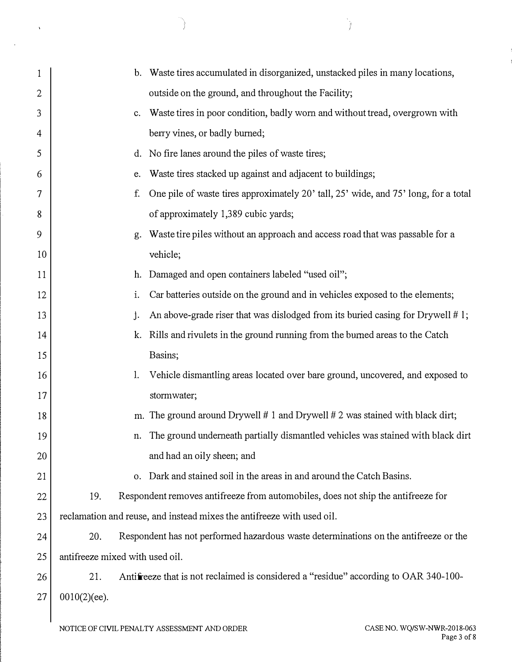| 1              |                 | b. Waste tires accumulated in disorganized, unstacked piles in many locations,                  |
|----------------|-----------------|-------------------------------------------------------------------------------------------------|
| $\overline{c}$ |                 | outside on the ground, and throughout the Facility;                                             |
| 3              |                 | Waste tires in poor condition, badly worn and without tread, overgrown with<br>$c_{\cdot}$      |
| 4              |                 | berry vines, or badly burned;                                                                   |
| 5              |                 | d. No fire lanes around the piles of waste tires;                                               |
| 6              |                 | Waste tires stacked up against and adjacent to buildings;<br>e.                                 |
| 7              |                 | One pile of waste tires approximately 20' tall, 25' wide, and 75' long, for a total<br>f.       |
| 8              |                 | of approximately 1,389 cubic yards;                                                             |
| 9              |                 | Waste tire piles without an approach and access road that was passable for a<br>g.              |
| 10             |                 | vehicle;                                                                                        |
| 11             |                 | h. Damaged and open containers labeled "used oil";                                              |
| 12             |                 | Car batteries outside on the ground and in vehicles exposed to the elements;<br>$\mathbf{i}$ .  |
| 13             |                 | An above-grade riser that was dislodged from its buried casing for Drywell $# 1$ ;<br>$\cdot$   |
| 14             |                 | k. Rills and rivulets in the ground running from the burned areas to the Catch                  |
| 15             |                 | Basins;                                                                                         |
| 16             |                 | Vehicle dismantling areas located over bare ground, uncovered, and exposed to<br>$\mathbf{l}$ . |
| 17             |                 | stormwater;                                                                                     |
| 18             |                 | m. The ground around Drywell $# 1$ and Drywell $# 2$ was stained with black dirt;               |
| 19             |                 | The ground underneath partially dismantled vehicles was stained with black dirt<br>n.           |
| 20             |                 | and had an oily sheen; and                                                                      |
| 21             |                 | Dark and stained soil in the areas in and around the Catch Basins.<br>$\mathbf{0}$ .            |
| 22             | 19.             | Respondent removes antifreeze from automobiles, does not ship the antifreeze for                |
| 23             |                 | reclamation and reuse, and instead mixes the antifreeze with used oil.                          |
| 24             | 20.             | Respondent has not performed hazardous waste determinations on the antifreeze or the            |
| 25             |                 | antifreeze mixed with used oil.                                                                 |
| 26             | 21.             | Antifreeze that is not reclaimed is considered a "residue" according to OAR 340-100-            |
| 27             | $0010(2)$ (ee). |                                                                                                 |

 $\sim 3\%$ 

 $\bar{\alpha}$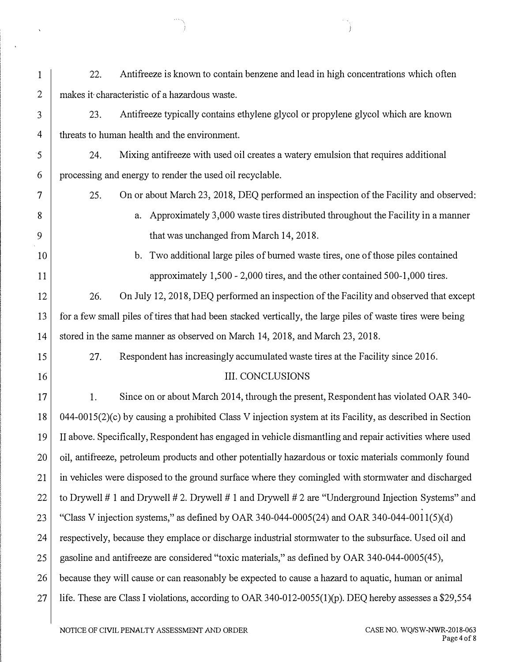| 1                       | Antifreeze is known to contain benzene and lead in high concentrations which often<br>22.                  |  |
|-------------------------|------------------------------------------------------------------------------------------------------------|--|
| $\overline{2}$          | makes it characteristic of a hazardous waste.                                                              |  |
| 3                       | Antifreeze typically contains ethylene glycol or propylene glycol which are known<br>23.                   |  |
| $\overline{4}$          | threats to human health and the environment.                                                               |  |
| $\overline{\mathbf{5}}$ | Mixing antifreeze with used oil creates a watery emulsion that requires additional<br>24.                  |  |
| 6                       | processing and energy to render the used oil recyclable.                                                   |  |
| 7                       | On or about March 23, 2018, DEQ performed an inspection of the Facility and observed:<br>25.               |  |
| 8                       | Approximately 3,000 waste tires distributed throughout the Facility in a manner<br>a.                      |  |
| 9                       | that was unchanged from March 14, 2018.                                                                    |  |
| 10                      | Two additional large piles of burned waste tires, one of those piles contained<br>$\mathbf{b}$ .           |  |
| 11                      | approximately 1,500 - 2,000 tires, and the other contained 500-1,000 tires.                                |  |
| 12                      | On July 12, 2018, DEQ performed an inspection of the Facility and observed that except<br>26.              |  |
| 13                      | for a few small piles of tires that had been stacked vertically, the large piles of waste tires were being |  |
| 14                      | stored in the same manner as observed on March 14, 2018, and March 23, 2018.                               |  |
| 15                      | 27.<br>Respondent has increasingly accumulated waste tires at the Facility since 2016.                     |  |
| 16                      | <b>III. CONCLUSIONS</b>                                                                                    |  |
| 17                      | Since on or about March 2014, through the present, Respondent has violated OAR 340-<br>1.                  |  |
| 18                      | $044-0015(2)(c)$ by causing a prohibited Class V injection system at its Facility, as described in Section |  |
| 19                      | II above. Specifically, Respondent has engaged in vehicle dismantling and repair activities where used     |  |
| 20                      | oil, antifreeze, petroleum products and other potentially hazardous or toxic materials commonly found      |  |
| 21                      | in vehicles were disposed to the ground surface where they comingled with stormwater and discharged        |  |
| 22                      | to Drywell # 1 and Drywell # 2. Drywell # 1 and Drywell # 2 are "Underground Injection Systems" and        |  |
| 23                      | "Class V injection systems," as defined by OAR 340-044-0005(24) and OAR 340-044-0011(5)(d)                 |  |
| 24                      | respectively, because they emplace or discharge industrial stormwater to the subsurface. Used oil and      |  |
| 25                      | gasoline and antifreeze are considered "toxic materials," as defined by OAR 340-044-0005(45),              |  |
| 26                      | because they will cause or can reasonably be expected to cause a hazard to aquatic, human or animal        |  |
| 27                      | life. These are Class I violations, according to OAR 340-012-0055(1)(p). DEQ hereby assesses a \$29,554    |  |
|                         |                                                                                                            |  |

j

 $\sim 30$ 

 $\langle \cdot, \cdot \rangle$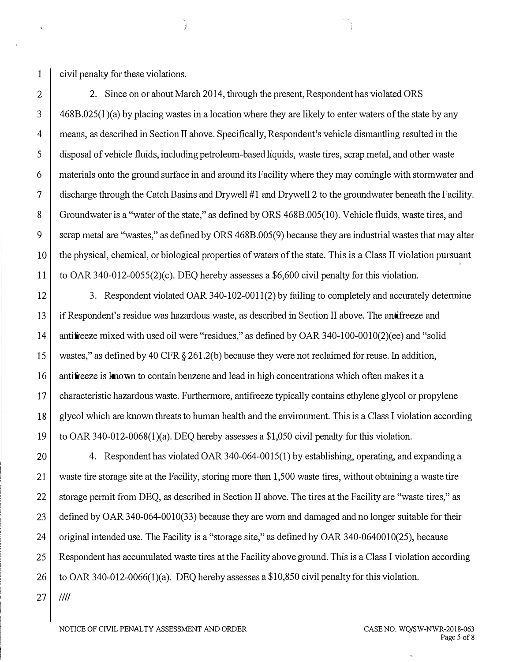1 civil penalty for these violations.

2 2. Since on or about March 2014, through the present, Respondent has violated ORS  $3 \mid 468B.025(1)(a)$  by placing wastes in a location where they are likely to enter waters of the state by any 4 means, as described in Section II above. Specifically, Respondent's vehicle dismantling resulted in the 5 disposal of vehicle fluids, including petroleum-based liquids, waste tires, scrap metal, and other waste 6 materials onto the ground surface in and around its Facility where they may comingle with stormwater and 7 discharge through the Catch Basins and Drywell #1 and Drywell 2 to the groundwater beneath the Facility. 8 Groundwater is a "water of the state," as defined by ORS 468B.005(10). Vehicle fluids, waste tires, and 9 scrap metal are "wastes," as defined by ORS 468B.005(9) because they are industrial wastes that may alter 10 the physical, chemical, or biological properties of waters of the state. This is a Class II violation pursuant 11 to OAR 340-012-0055(2)(c). DEQ hereby assesses a \$6,600 civil penalty for this violation.

12 3. Respondent violated OAR 340-102-0011(2) by failing to completely and accurately determine 13 if Respondent's residue was hazardous waste, as described in Section II above. The antifreeze and 14 antifreeze mixed with used oil were "residues," as defined by OAR 340-100-0010(2)(ee) and "solid 15 wastes," as defined by 40 CFR § 261.2(b) because they were not reclaimed for reuse. In addition, 16 antifreeze is known to contain benzene and lead in high concentrations which often makes it a 17 characteristic hazardous waste. Furthermore, antifreeze typically contains ethylene glycol or propylene 18 glycol which are known threats to human health and the environment. This is a Class I violation according 19 to OAR 340-012-0068(1)(a). DEO hereby assesses a \$1,050 civil penalty for this violation.

20 4. Respondent has violated OAR 340-064-0015(1) by establishing, operating, and expanding a 21 waste tire storage site at the Facility, storing more than 1,500 waste tires, without obtaining a waste tire 22 storage permit from DEQ, as described in Section II above. The tires at the Facility are "waste tires," as 23 defined by OAR 340-064-0010(33) because they are worn and damaged and no longer suitable for their 24 original intended use. The Facility is a "storage site," as defined by OAR 340-0640010(25), because 25 Respondent has accumulated waste tires at the Facility above ground. This is a Class I violation according 26 to OAR 340-012-0066(1)(a). DEQ hereby assesses a \$10,850 civil penalty for this violation.  $27$   $111$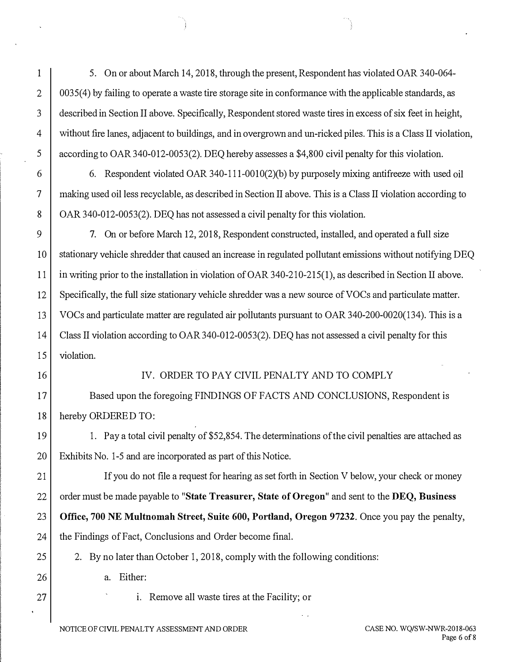1 5. On or about March 14, 2018, through the present, Respondent has violated OAR 340-064- 2 0035(4) by failing to operate a waste tire storage site in conformance with the applicable standards, as 3 described in Section II above. Specifically, Respondent stored waste tires in excess of six feet in height, 4 without fire lanes, adjacent to buildings, and in overgrown and un-ricked piles. This is a Class II violation, 5  $\parallel$  according to OAR 340-012-0053(2). DEQ hereby assesses a \$4,800 civil penalty for this violation.

6 6. Respondent violated OAR 340-111-0010(2)(b) by purposely mixing antifreeze with used oil 7 making used oil less recyclable, as described in Section II above. This is a Class II violation according to 8 | OAR 340-012-0053(2). DEQ has not assessed a civil penalty for this violation.

9 7. On or before March 12, 2018, Respondent constructed, installed, and operated a full size 10 stationary vehicle shredder that caused an increase in regulated pollutant emissions without notifying DEQ 11 in writing prior to the installation in violation of OAR 340-210-215(1), as described in Section II above. 12 Specifically, the full size stationary vehicle shredder was a new source of VOCs and particulate matter. 13 VOCs and particulate matter are regulated air pollutants pursuant to OAR 340-200-0020(134). This is a 14 Class II violation according to OAR 340-012-0053(2). DEQ has not assessed a civil penalty for this 15 violation.

#### 16 IV. ORDER TO PAY CIVIL PENALTY AND TO COMPLY

17 Based upon the foregoing FINDINGS OF FACTS AND CONCLUSIONS, Respondent is 18 hereby ORDERED TO:

19 1. Pay a total civil penalty of \$52,854. The determinations of the civil penalties are attached as 20 Exhibits No. 1-5 and are incorporated as part of this Notice.

21 If you do not file a request for hearing as set forth in Section V below, your check or money 22 order must be made payable to "State Treasurer, State of Oregon" and sent to the DEQ, Business 23 Office, 700 NE Multnomah Street, Suite 600, Portland, Oregon 97232. Once you pay the penalty,

24 the Findings of Fact, Conclusions and Order become final.

25 2. By no later than October 1, 2018, comply with the following conditions:

26 a. Either:

27 | i. Remove all waste tires at the Facility; or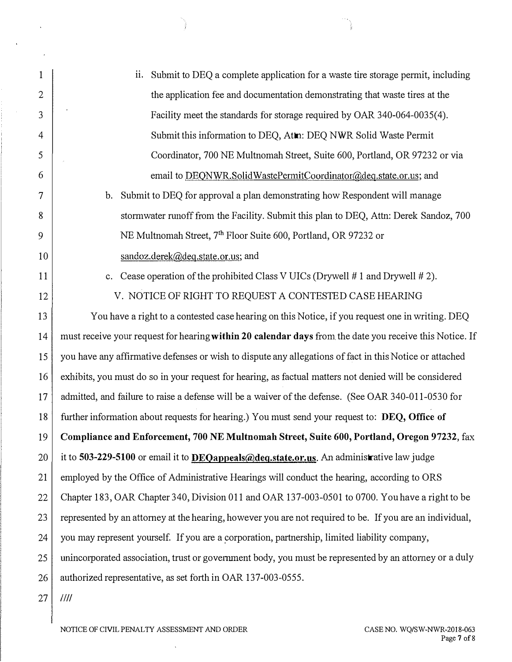| $\mathbf{1}$ | Submit to DEQ a complete application for a waste tire storage permit, including<br>ii.                   |
|--------------|----------------------------------------------------------------------------------------------------------|
| 2            | the application fee and documentation demonstrating that waste tires at the                              |
| 3            | Facility meet the standards for storage required by OAR 340-064-0035(4).                                 |
| 4            | Submit this information to DEQ, Atm: DEQ NWR Solid Waste Permit                                          |
| 5            | Coordinator, 700 NE Multnomah Street, Suite 600, Portland, OR 97232 or via                               |
| 6            | email to DEQNWR.SolidWastePermitCoordinator@deq.state.or.us; and                                         |
| 7            | Submit to DEQ for approval a plan demonstrating how Respondent will manage<br>$\mathbf{b}$ .             |
| 8            | stormwater runoff from the Facility. Submit this plan to DEQ, Attn: Derek Sandoz, 700                    |
| 9            | NE Multnomah Street, 7 <sup>th</sup> Floor Suite 600, Portland, OR 97232 or                              |
| 10           | sandoz.derek@deq.state.or.us; and                                                                        |
| 11           | c. Cease operation of the prohibited Class V UICs (Drywell #1 and Drywell #2).                           |
| 12           | V. NOTICE OF RIGHT TO REQUEST A CONTESTED CASE HEARING                                                   |
| 13           | You have a right to a contested case hearing on this Notice, if you request one in writing. DEQ          |
| 14           | must receive your request for hearing within 20 calendar days from the date you receive this Notice. If  |
| 15           | you have any affirmative defenses or wish to dispute any allegations of fact in this Notice or attached  |
| 16           | exhibits, you must do so in your request for hearing, as factual matters not denied will be considered   |
| 17           | admitted, and failure to raise a defense will be a waiver of the defense. (See OAR 340-011-0530 for      |
| 18           | further information about requests for hearing.) You must send your request to: DEQ, Office of           |
| 19           | Compliance and Enforcement, 700 NE Multnomah Street, Suite 600, Portland, Oregon 97232, fax              |
| 20           | it to 503-229-5100 or email it to DEQappeals@deq.state.or.us. An administrative law judge                |
| 21           | employed by the Office of Administrative Hearings will conduct the hearing, according to ORS             |
| 22           | Chapter 183, OAR Chapter 340, Division 011 and OAR 137-003-0501 to 0700. You have a right to be          |
| 23           | represented by an attorney at the hearing, however you are not required to be. If you are an individual, |
| 24           | you may represent yourself. If you are a corporation, partnership, limited liability company,            |
| 25           | unincorporated association, trust or government body, you must be represented by an attorney or a duly   |
| 26           | authorized representative, as set forth in OAR 137-003-0555.                                             |
| 27           | 1111                                                                                                     |

NOTICE OF CIVIL PENAL TY ASSESSMENT AND ORDER

 $\ddot{\phantom{1}}$ 

 $\ddot{\phantom{a}}$ 

 $\mathbf{r}$ 

 $\bar{\mathcal{A}}$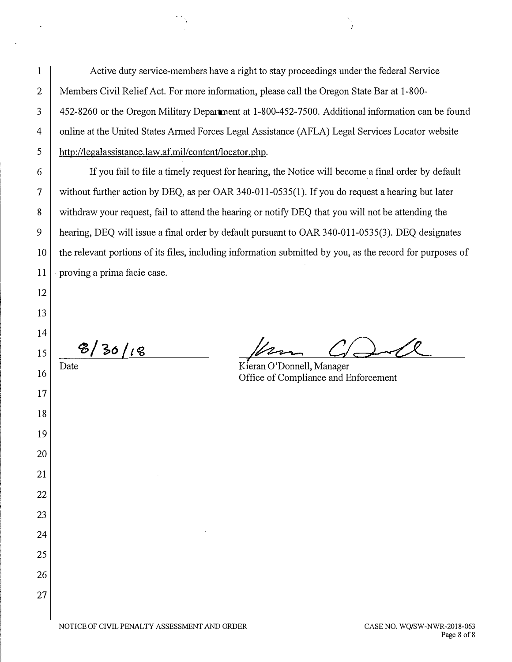1 Active duty service-members have a right to stay proceedings under the federal Service 2 | Members Civil Relief Act. For more information, please call the Oregon State Bar at 1-800-3 452-8260 or the Oregon Military Department at 1-800-452-7500. Additional information can be found 4 online at the United States Armed Forces Legal Assistance (AFLA) Legal Services Locator website 5 http://legalassistance.law.af.mil/content/locator.php.

6 If you fail to file a timely request for hearing, the Notice will become a final order by default 7 without further action by DEQ, as per OAR 340-011-0535(1 ). If you do request a hearing but later 8 withdraw your request, fail to attend the hearing or notify DEQ that you will not be attending the 9 hearing, DEQ will issue a final order by default pursuant to OAR 340-011-0535(3). DEQ designates 10 the relevant portions of its files, including information submitted by you, as the record for purposes of  $11$   $\cdot$  proving a prima facie case.

 $|15|$   $\frac{8}{36}$  /18

12

13

14

17

18

19

20

21

22

23

24

25

26

27

•

Date Kieran O'Donnell, Manager 16 Detail of Domein, Manager<br>Office of Compliance and Enforcement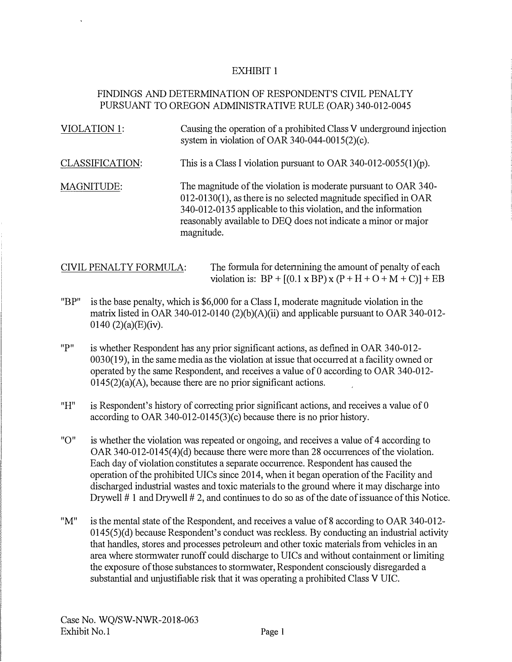# FINDINGS AND DETERMINATION OF RESPONDENT'S CIVIL PENALTY PURSUANT TO OREGON ADMINISTRATIVE RULE (OAR) 340-012-0045

| <b>VIOLATION 1:</b>    | Causing the operation of a prohibited Class V underground injection<br>system in violation of OAR 340-044-0015(2)(c).                                                                                                                                                                   |
|------------------------|-----------------------------------------------------------------------------------------------------------------------------------------------------------------------------------------------------------------------------------------------------------------------------------------|
| <b>CLASSIFICATION:</b> | This is a Class I violation pursuant to OAR 340-012-0055(1)(p).                                                                                                                                                                                                                         |
| MAGNITUDE:             | The magnitude of the violation is moderate pursuant to OAR 340-<br>$012-0130(1)$ , as there is no selected magnitude specified in OAR<br>340-012-0135 applicable to this violation, and the information<br>reasonably available to DEQ does not indicate a minor or major<br>magnitude. |

CIVIL PENALTY FORMULA: The formula for detennining the amount of penalty of each violation is:  $BP + [(0.1 \times BP) \times (P + H + O + M + C)] + EB$ 

- "BP" is the base penalty, which is \$6,000 for a Class I, moderate magnitude violation in the matrix listed in OAR 340-012-0140 (2)(b)(A)(ii) and applicable pursuant to OAR 340-012- 0140 $(2)(a)$ (E)(iv).
- "P" is whether Respondent has any prior significant actions, as defined in OAR 340-012- 0030(19), in the same media as the violation at issue that occuned at a facility owned or operated by the same Respondent, and receives a value of 0 according to OAR 340-012- $0145(2)(a)(A)$ , because there are no prior significant actions.
- $H^{\prime\prime}$  is Respondent's history of correcting prior significant actions, and receives a value of 0 according to OAR 340-012-0145(3)(c) because there is no prior history.
- "O" is whether the violation was repeated or ongoing, and receives a value of 4 according to OAR  $340-012-0145(4)(d)$  because there were more than 28 occurrences of the violation. Each day of violation constitutes a separate occunence. Respondent has caused the operation of the prohibited UICs since 2014, when it began operation of the Facility and discharged industrial wastes and toxic materials to the ground where it may discharge into Drywell # 1 and Drywell # 2, and continues to do so as of the date of issuance of this Notice.
- "M" is the mental state of the Respondent, and receives a value of8 according to OAR 340-012- 0145(5)(d) because Respondent's conduct was reckless. By conducting an industrial activity that handles, stores and processes petroleum and other toxic materials from vehicles in an area where stormwater runoff could discharge to UICs and without containment or limiting the exposure of those substances to stormwater, Respondent consciously disregarded a substantial and unjustifiable risk that it was operating a prohibited Class V UIC.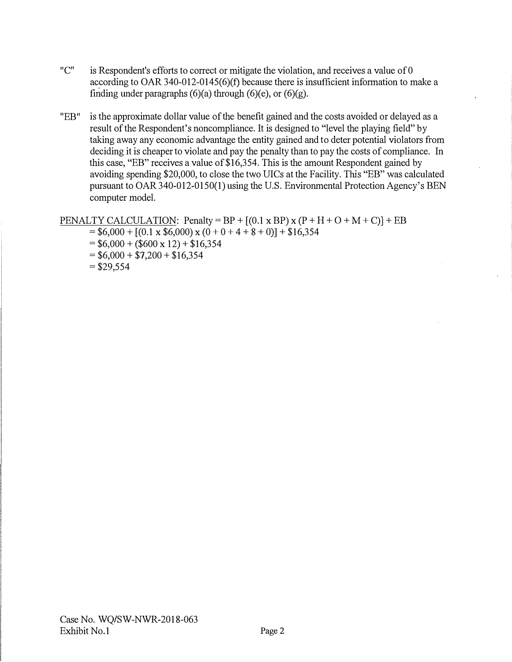- "C" is Respondent's efforts to correct or mitigate the violation, and receives a value of 0 according to OAR 340-012-0145(6)(f) because there is insufficient information to make a finding under paragraphs  $(6)(a)$  through  $(6)(e)$ , or  $(6)(g)$ .
- "EB" is the approximate dollar value of the benefit gained and the costs avoided or delayed as a result of the Respondent's noncompliance. It is designed to "level the playing field" by taking away any economic advantage the entity gained and to deter potential violators from deciding it is cheaper to violate and pay the penalty than to pay the costs of compliance. In this case, "EB" receives a value of  $$16,354$ . This is the amount Respondent gained by avoiding spending \$20,000, to close the two UICs at the Facility. This "EB" was calculated pursuant to OAR 340-012-0150(1) using the U.S. Environmental Protection Agency's BEN computer model.

PENALTY CALCULATION: Penalty =  $BP + [(0.1 \times BP) \times (P + H + O + M + C)] + EB$ 

- $= $6,000 + [(0.1 \times $6,000) \times (0 + 0 + 4 + 8 + 0)] + $16,354$
- $= $6,000 + ($600 \times 12) + $16,354$
- $= $6,000 + $7,200 + $16,354$
- $= $29,554$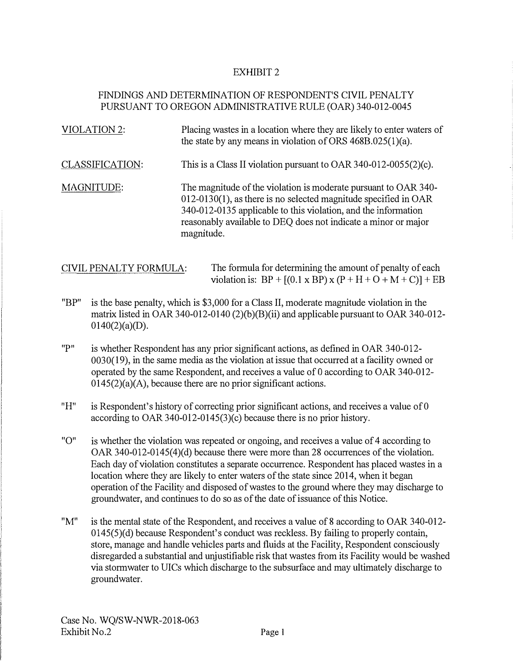# FINDINGS AND DETERMINATION OF RESPONDENT'S CIVIL PENALTY PURSUANT TO OREGON ADMINISTRATIVE RULE (OAR) 340-012-0045

| VIOLATION 2:           | Placing wastes in a location where they are likely to enter waters of<br>the state by any means in violation of ORS $468B.025(1)(a)$ .                                                                                                                                                  |
|------------------------|-----------------------------------------------------------------------------------------------------------------------------------------------------------------------------------------------------------------------------------------------------------------------------------------|
| <b>CLASSIFICATION:</b> | This is a Class II violation pursuant to OAR 340-012-0055(2)(c).                                                                                                                                                                                                                        |
| MAGNITUDE:             | The magnitude of the violation is moderate pursuant to OAR 340-<br>$012-0130(1)$ , as there is no selected magnitude specified in OAR<br>340-012-0135 applicable to this violation, and the information<br>reasonably available to DEQ does not indicate a minor or major<br>magnitude. |

| CIVIL PENALTY FORMULA: | The formula for determining the amount of penalty of each              |
|------------------------|------------------------------------------------------------------------|
|                        | violation is: $BP + [(0.1 \times BP) \times (P + H + O + M + C)] + EB$ |

- "BP" is the base penalty, which is \$3,000 for a Class II, moderate magnitude violation in the matrix listed in OAR 340-012-0140 (2)(b)(B)(ii) and applicable pursuant to OAR 340-012-  $0140(2)(a)(D)$ .
- "P" is whether Respondent has any prior significant actions, as defined in OAR 340-012- 0030( 19), in the same media as the violation at issue that occurred at a facility owned or operated by the same Respondent, and receives a value of 0 according to OAR 340-012- $0145(2)(a)(A)$ , because there are no prior significant actions.
- "H" is Respondent's history of correcting prior significant actions, and receives a value of 0 according to OAR 340-012-0145(3)(c) because there is no prior history.
- "O" is whether the violation was repeated or ongoing, and receives a value of 4 according to OAR  $340-012-0145(4)(d)$  because there were more than 28 occurrences of the violation. Each day of violation constitutes a separate occurrence. Respondent has placed wastes in a location where they are likely to enter waters of the state since 2014, when it began operation of the Facility and disposed of wastes to the ground where they may discharge to groundwater, and continues to do so as of the date of issuance of this Notice.
- "M" is the mental state of the Respondent, and receives a value of 8 according to OAR 340-012- 0145(5)(d) because Respondent's conduct was reckless. By failing to properly contain, store, manage and handle vehicles parts and fluids at the Facility, Respondent consciously disregarded a substantial and unjustifiable risk that wastes from its Facility would be washed via stormwater to UICs which discharge to the subsurface and may ultimately discharge to groundwater.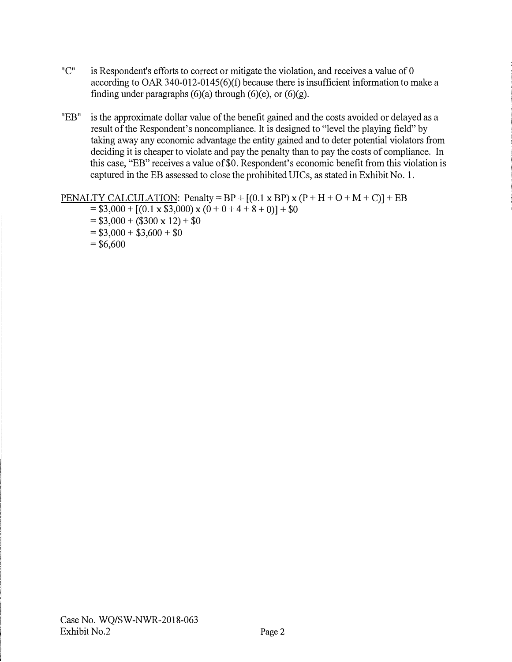- $"C"$  is Respondent's efforts to correct or mitigate the violation, and receives a value of 0 according to OAR 340-012-0145(6)(f) because there is insufficient information to make a finding under paragraphs  $(6)(a)$  through  $(6)(e)$ , or  $(6)(g)$ .
- "EB" is the approximate dollar value of the benefit gained and the costs avoided or delayed as a result of the Respondent's noncompliance. It is designed to "level the playing field" by taking away any economic advantage the entity gained and to deter potential violators from deciding it is cheaper to violate and pay the penalty than to pay the costs of compliance. In this case, "EB" receives a value of\$0. Respondent's economic benefit from this violation is captured in the EB assessed to close the prohibited UICs, as stated in Exhibit No. I.

PENALTY CALCULATION: Penalty = BP +  $[(0.1 \times BP) \times (P + H + O + M + C)]$  + EB  $=$  \$3,000 +  $[(0.1 \times $3,000) \times (0 + 0 + 4 + 8 + 0)] + $0$  $= $3,000 + ($300 \times 12) + $0$  $= $3,000 + $3,600 + $0$  $=$  \$6,600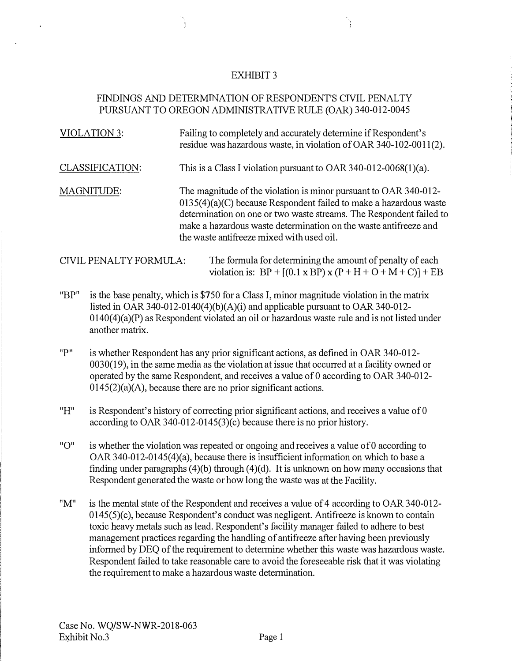# FINDINGS AND DETERMINATION OF RESPONDENT'S CIVIL PENALTY PURSUANT TO OREGON ADMINISTRATNE RULE (OAR) 340-012-0045

| VIOLATION 3:    | Failing to completely and accurately determine if Respondent's<br>residue was hazardous waste, in violation of OAR 340-102-0011(2).                                                                                                                                                                                             |
|-----------------|---------------------------------------------------------------------------------------------------------------------------------------------------------------------------------------------------------------------------------------------------------------------------------------------------------------------------------|
| CLASSIFICATION: | This is a Class I violation pursuant to OAR 340-012-0068(1)(a).                                                                                                                                                                                                                                                                 |
| MAGNITUDE:      | The magnitude of the violation is minor pursuant to OAR 340-012-<br>$0135(4)(a)(C)$ because Respondent failed to make a hazardous waste<br>determination on one or two waste streams. The Respondent failed to<br>make a hazardous waste determination on the waste antifreeze and<br>the waste antifreeze mixed with used oil. |

CNIL PENALTY FORMULA: The formula for determining the amount of penalty of each violation is:  $BP + [(0.1 \times BP) \times (P + H + O + M + C)] + EB$ 

- "BP" is the base penalty, which is \$750 for a Class I, minor magnitude violation in the matrix listed in OAR 340-012-0140(4)(b)(A)(i) and applicable pursuant to OAR 340-012-0140(4)(a)(P) as Respondent violated an oil or hazardous waste rule and is not listed under another matrix.
- "P" is whether Respondent has any prior significant actions, as defined in OAR 340-012- 0030(19), in the same media as the violation at issue that occurred at a facility owned or operated by the same Respondent, and receives a value of 0 according to OAR 340-012-  $0145(2)(a)$ (A), because there are no prior significant actions.
- "H" is Respondent's history of correcting prior significant actions, and receives a value of 0 according to OAR 340-012-0145(3)(c) because there is no prior history.
- "O" is whether the violation was repeated or ongoing and receives a value of 0 according to OAR 340-012-0145(4)(a), because there is insufficient information on which to base a finding under paragraphs  $(4)(b)$  through  $(4)(d)$ . It is unknown on how many occasions that Respondent generated the waste or how long the waste was at the Facility.
- "M" is the mental state of the Respondent and receives a value of 4 according to OAR 340-012- 0145(5)(c), because Respondent's conduct was negligent. Antifreeze is known to contain toxic heavy metals such as lead. Respondent's facility manager failed to adhere to best management practices regarding the handling of antifreeze after having been previously informed by DEQ of the requirement to determine whether this waste was hazardous waste. Respondent failed to take reasonable care to avoid the foreseeable risk that it was violating the requirement to make a hazardous waste determination.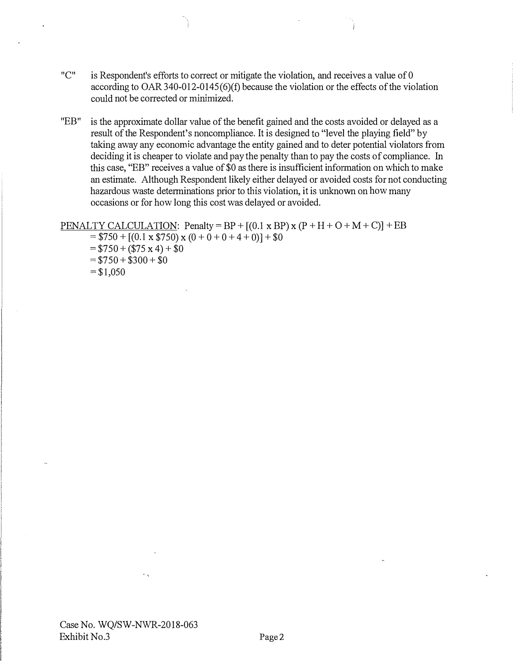- "C" is Respondent's efforts to correct or mitigate the violation, and receives a value of 0 according to OAR 340-012-0145(6)(f) because the violation or the effects of the violation could not be corrected or minimized.
- "EB" is the approximate dollar value of the benefit gained and the costs avoided or delayed as a result of the Respondent's noncompliance. It is designed to "level the playing field" by taking away any economic advantage the entity gained and to deter potential violators from deciding it is cheaper to violate and pay the penalty than to pay the costs of compliance. In this case, "EB" receives a value of \$0 as there is insufficient information on which to make an estimate. Although Respondent likely either delayed or avoided costs for not conducting hazardous waste determinations prior to this violation, it is unknown on how many occasions or for how long this cost was delayed or avoided.

#### PENALTY CALCULATION: Penalty = BP +  $[(0.1 \times BP) \times (P + H + O + M + C)]$  + EB

 $= $750 + [(0.1 \times $750) \times (0 + 0 + 0 + 4 + 0)] + $0$  $= $750 + ($75 \times 4) + $0$  $= $750 + $300 + $0$  $= $1,050$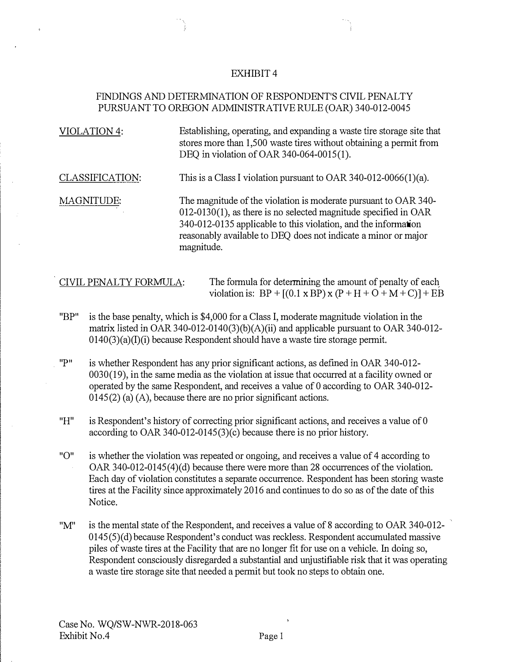### FINDINGS AND DETERMINATION OF RESPONDENT'S CIVIL PENALTY PURSUANT TO OREGON ADMINISTRATIVE RULE (OAR) 340-012-0045

| VIOLATION 4:      | Establishing, operating, and expanding a waste tire storage site that<br>stores more than 1,500 waste tires without obtaining a permit from<br>DEQ in violation of OAR 340-064-0015(1).                                                                                                 |
|-------------------|-----------------------------------------------------------------------------------------------------------------------------------------------------------------------------------------------------------------------------------------------------------------------------------------|
| CLASSIFICATION:   | This is a Class I violation pursuant to OAR 340-012-0066(1)(a).                                                                                                                                                                                                                         |
| <b>MAGNITUDE:</b> | The magnitude of the violation is moderate pursuant to OAR 340-<br>$012-0130(1)$ , as there is no selected magnitude specified in OAR<br>340-012-0135 applicable to this violation, and the information<br>reasonably available to DEQ does not indicate a minor or major<br>magnitude. |

CIVIL PENALTY FORMULA: The formula for determining the amount of penalty of each violation is:  $BP + [(0.1 \times BP) \times (P + H + O + M + C)] + EB$ 

- "BP" is the base penalty, which is \$4,000 for a Class I, moderate magnitude violation in the matrix listed in OAR 340-012-0140(3)(b)(A)(ii) and applicable pursuant to OAR 340-012-0140(3)(a)(I)(i) because Respondent should have a waste tire storage permit.
- "P" is whether Respondent has any prior significant actions, as defmed in OAR 340-012- 0030(19), in the same media as the violation at issue that occurred at a facility owned or operated by the same Respondent, and receives a value of 0 according to OAR 340-012- 0145(2) (a) (A), because there are no prior significant actions.
- "H" is Respondent's history of correcting prior significant actions, and receives a value of 0 according to OAR 340-012-0145(3)(c) because there is no prior history.
- "O" is whether the violation was repeated or ongoing, and receives a value of 4 according to OAR 340-012-0145(4)(d) because there were more than 28 occurrences of the violation. Each day of violation constitutes a separate occunence. Respondent has been storing waste tires at the Facility since approximately 2016 and continues to do so as of the date of this Notice.
- "M" is the mental state of the Respondent, and receives a value of 8 according to OAR 340-012- 0145(5)(d) because Respondent's conduct was reckless. Respondent accumulated massive piles of waste tires at the Facility that are no longer fit for use on a vehicle. In doing so, Respondent consciously disregarded a substantial and unjustifiable risk that it was operating a waste tire storage site that needed a permit but took no steps to obtain one.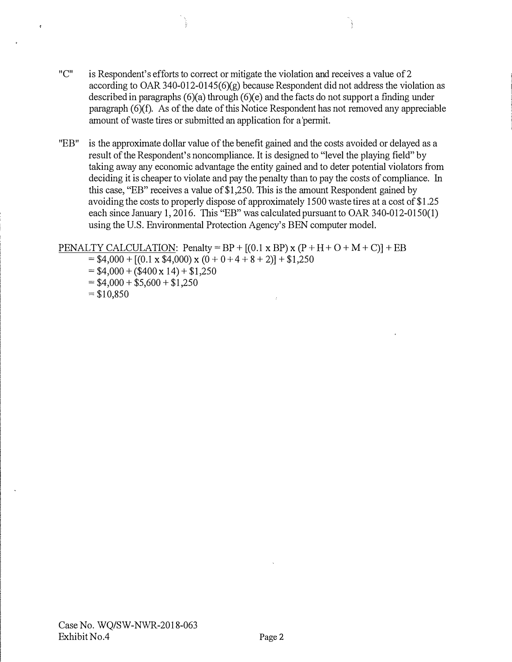- "C" is Respondent's efforts to correct or mitigate the violation and receives a value of 2 according to OAR 340-012-0145( $6$ )(g) because Respondent did not address the violation as described in paragraphs (6)(a) through (6)(e) and the facts do not support a finding under paragraph (6)(f). As of the date of this Notice Respondent has not removed any appreciable amount of waste tires or submitted an application for a 'permit.
- "EB" is the approximate dollar value of the benefit gained and the costs avoided or delayed as a result of the Respondent's noncompliance. It is designed to "level the playing field" by taking away any economic advantage the entity gained and to deter potential violators from deciding it is cheaper to violate and pay the penalty than to pay the costs of compliance. In this case, "EB" receives a value of \$1,250. 1his is the amount Respondent gained by avoiding the costs to properly dispose of approximately 1500 waste tires at a cost of \$1.25 each since January 1, 2016. This "EB" was calculated pursuant to OAR 340-012-0150(1) using the U.S. Environmental Protection Agency's BEN computer model.

PENALTY CALCULATION: Penalty =  $BP + [(0.1 \times BP) \times (P + H + O + M + C)] + EB$ 

- $= $4,000 + [(0.1 \times $4,000) \times (0 + 0 + 4 + 8 + 2)] + $1,250$
- $= $4,000 + ($400 \times 14) + $1,250$
- $= $4,000 + $5,600 + $1,250$
- $=$  \$10,850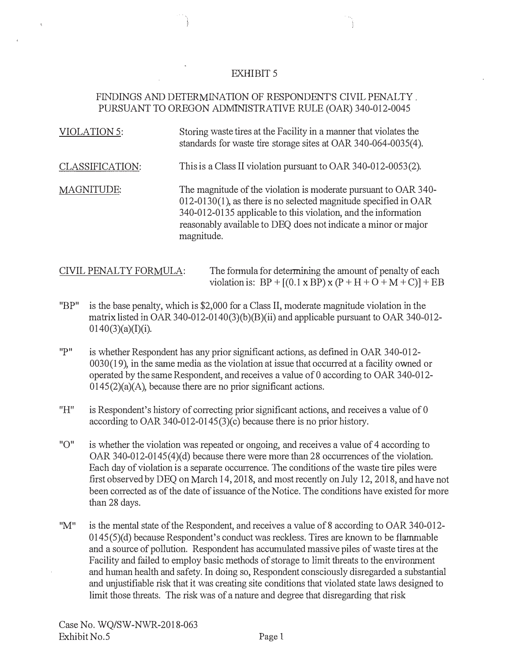### FINDINGS AND DETERMINATION OF RESPONDENT'S CIVIL PENALTY . PURSUANT TO OREGON ADMINISTRATIVE RULE (OAR) 340-012-0045

| VIOLATION 5:    | Storing waste tires at the Facility in a manner that violates the<br>standards for waste tire storage sites at OAR 340-064-0035(4).                                                                                                                                                     |
|-----------------|-----------------------------------------------------------------------------------------------------------------------------------------------------------------------------------------------------------------------------------------------------------------------------------------|
| CLASSIFICATION: | This is a Class II violation pursuant to OAR 340-012-0053(2).                                                                                                                                                                                                                           |
| MAGNITUDE:      | The magnitude of the violation is moderate pursuant to OAR 340-<br>$012-0130(1)$ , as there is no selected magnitude specified in OAR<br>340-012-0135 applicable to this violation, and the information<br>reasonably available to DEQ does not indicate a minor or major<br>magnitude. |

| CIVIL PENALTY FORMULA: | The formula for determining the amount of penalty of each              |
|------------------------|------------------------------------------------------------------------|
|                        | violation is: $BP + [(0.1 \times BP) \times (P + H + O + M + C)] + EB$ |

- "BP" he base penalty, which is \$2,000 for a Class II, moderate magnitude violation in the matrix listed in OAR 340-012-0140(3)(b)(B)(ii) and applicable pursuant to OAR 340-012-0140(3)(a)(1)(i).
- "P" is whether Respondent has any prior significant actions, as defined in OAR 340-012- $0030(19)$ , in the same media as the violation at issue that occurred at a facility owned or operated by the same Respondent, and receives a value of 0 according to OAR 340-012- $0145(2)(a)(A)$ , because there are no prior significant actions.
- "H" is Respondent's history of correcting prior significant actions, and receives a value of 0 according to OAR 340-012-0145(3)(c) because there is no prior history.
- "O" is whether the violation was repeated or ongoing, and receives a value of 4 according to OAR 340-012-0145(4)(d) because there were more than 28 occurrences of the violation. Each day of violation is a separate occurrence. The conditions of the waste tire piles were first observed by DEQ on March 14, 2018, and most recently on July 12, 2018, and have not been corrected as of the date of issuance of the Notice. The conditions have existed for more than 28 days.
- "M" is the mental state of the Respondent, and receives a value of 8 according to OAR 340-012-0145(5)(d) because Respondent's conduct was reckless. Tires are known to be flammable and a source of pollution. Respondent has accumulated massive piles of waste tires at the Facility and failed to employ basic methods of storage to limit threats to the environment and human health and safety. In doing so, Respondent consciously disregarded a substantial and unjustifiable risk that it was creating site conditions that violated state laws designed to limit those threats. The risk was of a nature and degree that disregarding that risk